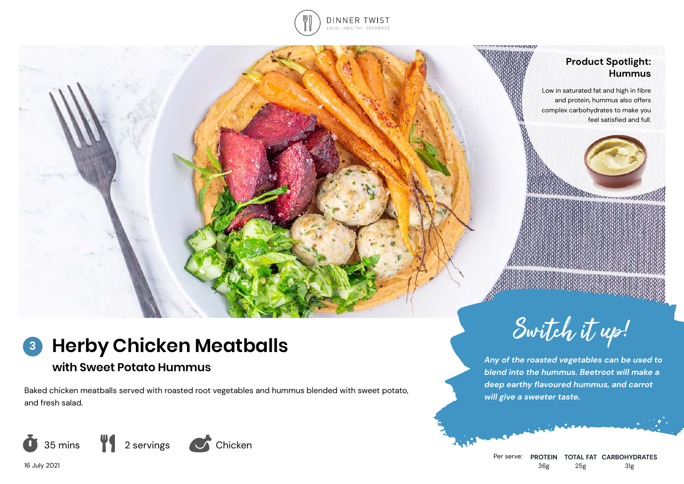

## **Product Spotlight: Hummus**

Low in saturated fat and high in fibre and protein, hummus also offers complex carbohydrates to make you feel satisfied and full.



## **Herby Chicken Meatballs 3**

# **with Sweet Potato Hummus**

Baked chicken meatballs served with roasted root vegetables and hummus blended with sweet potato, and fresh salad.





*Any of the roasted vegetables can be used to blend into the hummus. Beetroot will make a deep earthy flavoured hummus, and carrot will give a sweeter taste.*